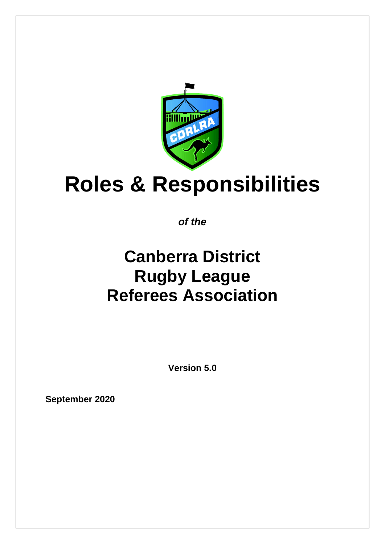

# **Roles & Responsibilities**

*of the*

## **Canberra District Rugby League Referees Association**

**Version 5.0**

**September 2020**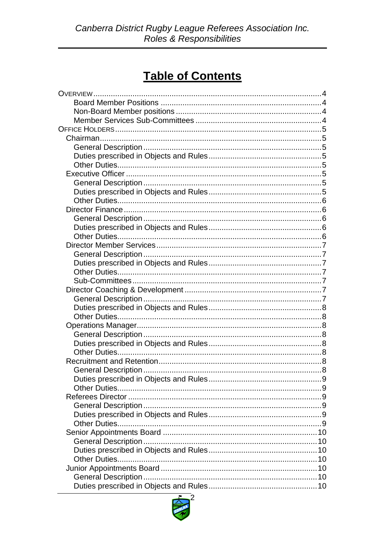### **Table of Contents**

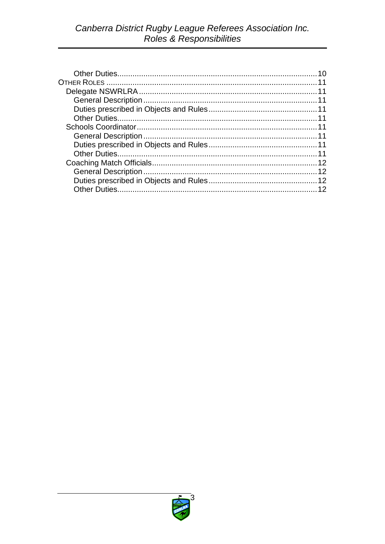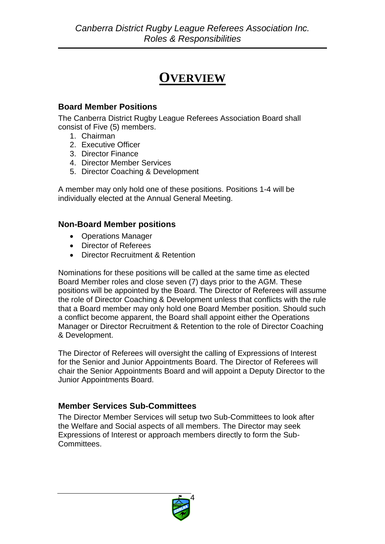### **OVERVIEW**

#### <span id="page-3-1"></span><span id="page-3-0"></span>**Board Member Positions**

The Canberra District Rugby League Referees Association Board shall consist of Five (5) members.

- 1. Chairman
- 2. Executive Officer
- 3. Director Finance
- 4. Director Member Services
- 5. Director Coaching & Development

A member may only hold one of these positions. Positions 1-4 will be individually elected at the Annual General Meeting.

#### <span id="page-3-2"></span>**Non-Board Member positions**

- Operations Manager
- Director of Referees
- Director Recruitment & Retention

Nominations for these positions will be called at the same time as elected Board Member roles and close seven (7) days prior to the AGM. These positions will be appointed by the Board. The Director of Referees will assume the role of Director Coaching & Development unless that conflicts with the rule that a Board member may only hold one Board Member position. Should such a conflict become apparent, the Board shall appoint either the Operations Manager or Director Recruitment & Retention to the role of Director Coaching & Development.

The Director of Referees will oversight the calling of Expressions of Interest for the Senior and Junior Appointments Board. The Director of Referees will chair the Senior Appointments Board and will appoint a Deputy Director to the Junior Appointments Board.

#### <span id="page-3-3"></span>**Member Services Sub-Committees**

The Director Member Services will setup two Sub-Committees to look after the Welfare and Social aspects of all members. The Director may seek Expressions of Interest or approach members directly to form the Sub-Committees.

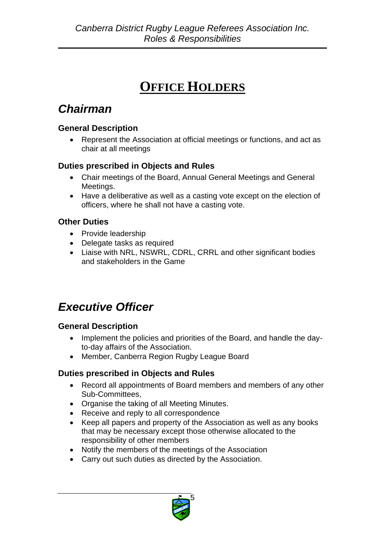### **OFFICE HOLDERS**

### <span id="page-4-1"></span><span id="page-4-0"></span>*Chairman*

#### <span id="page-4-2"></span>**General Description**

• Represent the Association at official meetings or functions, and act as chair at all meetings

#### <span id="page-4-3"></span>**Duties prescribed in Objects and Rules**

- Chair meetings of the Board, Annual General Meetings and General Meetings.
- Have a deliberative as well as a casting vote except on the election of officers, where he shall not have a casting vote.

#### <span id="page-4-4"></span>**Other Duties**

- Provide leadership
- Delegate tasks as required
- Liaise with NRL, NSWRL, CDRL, CRRL and other significant bodies and stakeholders in the Game

### <span id="page-4-5"></span>*Executive Officer*

#### <span id="page-4-6"></span>**General Description**

- Implement the policies and priorities of the Board, and handle the dayto-day affairs of the Association.
- Member, Canberra Region Rugby League Board

#### <span id="page-4-7"></span>**Duties prescribed in Objects and Rules**

- Record all appointments of Board members and members of any other Sub-Committees,
- Organise the taking of all Meeting Minutes.
- Receive and reply to all correspondence
- Keep all papers and property of the Association as well as any books that may be necessary except those otherwise allocated to the responsibility of other members
- Notify the members of the meetings of the Association
- Carry out such duties as directed by the Association.

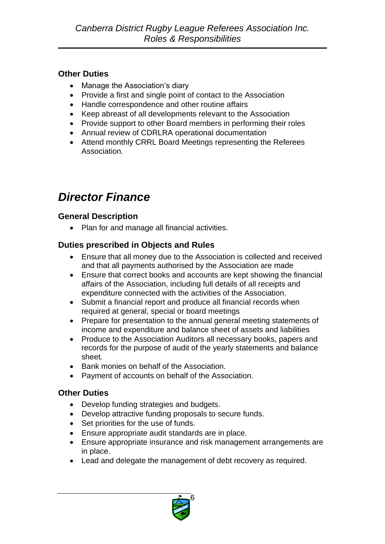#### <span id="page-5-0"></span>**Other Duties**

- Manage the Association's diary
- Provide a first and single point of contact to the Association
- Handle correspondence and other routine affairs
- Keep abreast of all developments relevant to the Association
- Provide support to other Board members in performing their roles
- Annual review of CDRLRA operational documentation
- Attend monthly CRRL Board Meetings representing the Referees Association.

### <span id="page-5-1"></span>*Director Finance*

#### <span id="page-5-2"></span>**General Description**

• Plan for and manage all financial activities.

#### <span id="page-5-3"></span>**Duties prescribed in Objects and Rules**

- Ensure that all money due to the Association is collected and received and that all payments authorised by the Association are made
- Ensure that correct books and accounts are kept showing the financial affairs of the Association, including full details of all receipts and expenditure connected with the activities of the Association.
- Submit a financial report and produce all financial records when required at general, special or board meetings
- Prepare for presentation to the annual general meeting statements of income and expenditure and balance sheet of assets and liabilities
- Produce to the Association Auditors all necessary books, papers and records for the purpose of audit of the yearly statements and balance sheet.
- Bank monies on behalf of the Association.
- <span id="page-5-4"></span>• Payment of accounts on behalf of the Association.

- Develop funding strategies and budgets.
- Develop attractive funding proposals to secure funds.
- Set priorities for the use of funds.
- Ensure appropriate audit standards are in place.
- Ensure appropriate insurance and risk management arrangements are in place.
- Lead and delegate the management of debt recovery as required.

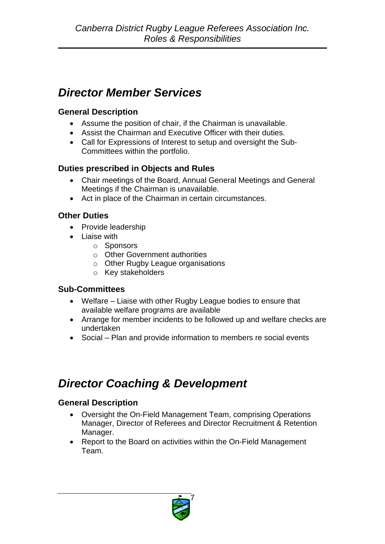### <span id="page-6-0"></span>*Director Member Services*

#### <span id="page-6-1"></span>**General Description**

- Assume the position of chair, if the Chairman is unavailable.
- Assist the Chairman and Executive Officer with their duties.
- Call for Expressions of Interest to setup and oversight the Sub-Committees within the portfolio.

#### <span id="page-6-2"></span>**Duties prescribed in Objects and Rules**

- Chair meetings of the Board, Annual General Meetings and General Meetings if the Chairman is unavailable.
- Act in place of the Chairman in certain circumstances.

#### <span id="page-6-3"></span>**Other Duties**

- Provide leadership
- Liaise with
	- o Sponsors
	- o Other Government authorities
	- o Other Rugby League organisations
	- o Key stakeholders

#### <span id="page-6-4"></span>**Sub-Committees**

- Welfare Liaise with other Rugby League bodies to ensure that available welfare programs are available
- Arrange for member incidents to be followed up and welfare checks are undertaken
- Social Plan and provide information to members re social events

### <span id="page-6-5"></span>*Director Coaching & Development*

#### <span id="page-6-6"></span>**General Description**

- Oversight the On-Field Management Team, comprising Operations Manager, Director of Referees and Director Recruitment & Retention Manager.
- Report to the Board on activities within the On-Field Management Team.

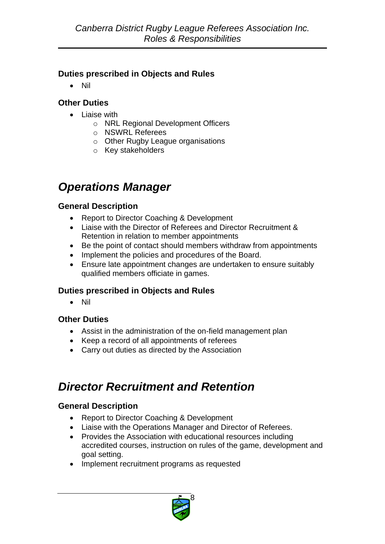#### <span id="page-7-0"></span>**Duties prescribed in Objects and Rules**

• Nil

#### <span id="page-7-1"></span>**Other Duties**

- Liaise with
	- o NRL Regional Development Officers
	- o NSWRL Referees
	- o Other Rugby League organisations
	- o Key stakeholders

### <span id="page-7-2"></span>*Operations Manager*

#### <span id="page-7-3"></span>**General Description**

- Report to Director Coaching & Development
- Liaise with the Director of Referees and Director Recruitment & Retention in relation to member appointments
- Be the point of contact should members withdraw from appointments
- Implement the policies and procedures of the Board.
- Ensure late appointment changes are undertaken to ensure suitably qualified members officiate in games.

#### <span id="page-7-4"></span>**Duties prescribed in Objects and Rules**

• Nil

#### <span id="page-7-5"></span>**Other Duties**

- Assist in the administration of the on-field management plan
- Keep a record of all appointments of referees
- Carry out duties as directed by the Association

### <span id="page-7-6"></span>*Director Recruitment and Retention*

#### <span id="page-7-7"></span>**General Description**

- Report to Director Coaching & Development
- Liaise with the Operations Manager and Director of Referees.
- Provides the Association with educational resources including accredited courses, instruction on rules of the game, development and goal setting.
- Implement recruitment programs as requested

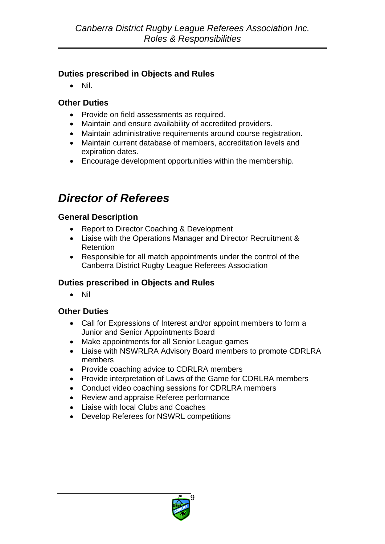#### <span id="page-8-0"></span>**Duties prescribed in Objects and Rules**

• Nil.

#### <span id="page-8-1"></span>**Other Duties**

- Provide on field assessments as required.
- Maintain and ensure availability of accredited providers.
- Maintain administrative requirements around course registration.
- Maintain current database of members, accreditation levels and expiration dates.
- Encourage development opportunities within the membership.

### <span id="page-8-2"></span>*Director of Referees*

#### <span id="page-8-3"></span>**General Description**

- Report to Director Coaching & Development
- Liaise with the Operations Manager and Director Recruitment & Retention
- Responsible for all match appointments under the control of the Canberra District Rugby League Referees Association

#### <span id="page-8-4"></span>**Duties prescribed in Objects and Rules**

<span id="page-8-5"></span>• Nil

- Call for Expressions of Interest and/or appoint members to form a Junior and Senior Appointments Board
- Make appointments for all Senior League games
- Liaise with NSWRLRA Advisory Board members to promote CDRLRA members
- Provide coaching advice to CDRLRA members
- Provide interpretation of Laws of the Game for CDRLRA members
- Conduct video coaching sessions for CDRLRA members
- Review and appraise Referee performance
- Liaise with local Clubs and Coaches
- Develop Referees for NSWRL competitions

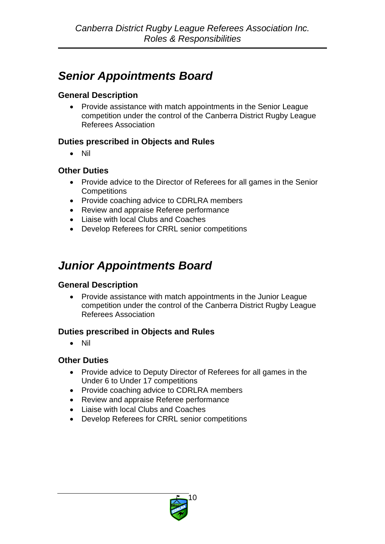### <span id="page-9-0"></span>*Senior Appointments Board*

#### <span id="page-9-1"></span>**General Description**

• Provide assistance with match appointments in the Senior League competition under the control of the Canberra District Rugby League Referees Association

#### <span id="page-9-2"></span>**Duties prescribed in Objects and Rules**

• Nil

#### <span id="page-9-3"></span>**Other Duties**

- Provide advice to the Director of Referees for all games in the Senior **Competitions**
- Provide coaching advice to CDRLRA members
- Review and appraise Referee performance
- Liaise with local Clubs and Coaches
- Develop Referees for CRRL senior competitions

### <span id="page-9-4"></span>*Junior Appointments Board*

#### <span id="page-9-5"></span>**General Description**

• Provide assistance with match appointments in the Junior League competition under the control of the Canberra District Rugby League Referees Association

#### <span id="page-9-6"></span>**Duties prescribed in Objects and Rules**

<span id="page-9-7"></span>• Nil

- Provide advice to Deputy Director of Referees for all games in the Under 6 to Under 17 competitions
- Provide coaching advice to CDRLRA members
- Review and appraise Referee performance
- Liaise with local Clubs and Coaches
- Develop Referees for CRRL senior competitions

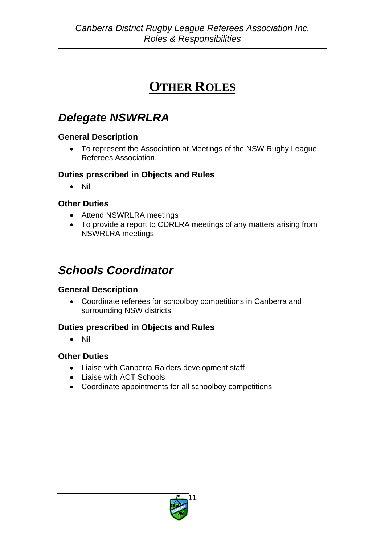### **OTHER ROLES**

### <span id="page-10-1"></span><span id="page-10-0"></span>*Delegate NSWRLRA*

#### <span id="page-10-2"></span>**General Description**

• To represent the Association at Meetings of the NSW Rugby League Referees Association.

#### <span id="page-10-3"></span>**Duties prescribed in Objects and Rules**

• Nil

#### <span id="page-10-4"></span>**Other Duties**

- Attend NSWRLRA meetings
- To provide a report to CDRLRA meetings of any matters arising from NSWRLRA meetings

### <span id="page-10-5"></span>*Schools Coordinator*

#### <span id="page-10-6"></span>**General Description**

• Coordinate referees for schoolboy competitions in Canberra and surrounding NSW districts

#### <span id="page-10-7"></span>**Duties prescribed in Objects and Rules**

<span id="page-10-8"></span>• Nil

- Liaise with Canberra Raiders development staff
- Liaise with ACT Schools
- Coordinate appointments for all schoolboy competitions